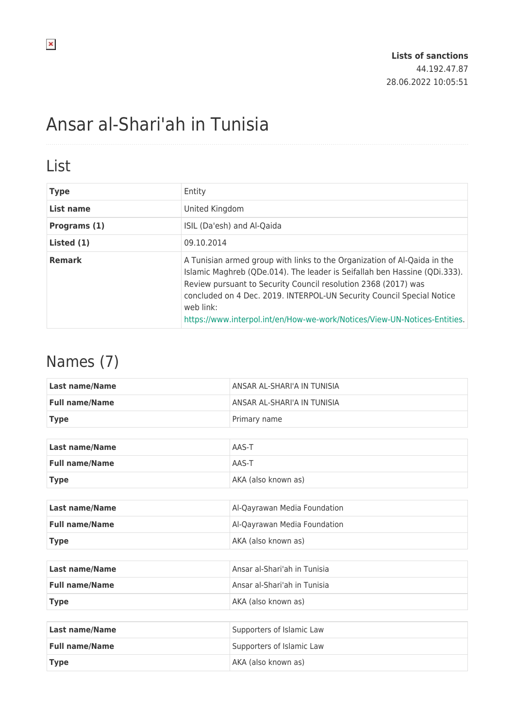# Ansar al-Shari'ah in Tunisia

### List

| <b>Type</b>   | Entity                                                                                                                                                                                                                                                                                                                                                                                     |
|---------------|--------------------------------------------------------------------------------------------------------------------------------------------------------------------------------------------------------------------------------------------------------------------------------------------------------------------------------------------------------------------------------------------|
| List name     | United Kingdom                                                                                                                                                                                                                                                                                                                                                                             |
| Programs (1)  | ISIL (Da'esh) and Al-Qaida                                                                                                                                                                                                                                                                                                                                                                 |
| Listed (1)    | 09.10.2014                                                                                                                                                                                                                                                                                                                                                                                 |
| <b>Remark</b> | A Tunisian armed group with links to the Organization of Al-Qaida in the<br>Islamic Maghreb (QDe.014). The leader is Seifallah ben Hassine (QDi.333).<br>Review pursuant to Security Council resolution 2368 (2017) was<br>concluded on 4 Dec. 2019. INTERPOL-UN Security Council Special Notice<br>web link:<br>https://www.interpol.int/en/How-we-work/Notices/View-UN-Notices-Entities. |

### Names (7)

| <b>Last name/Name</b> | ANSAR AL-SHARI'A IN TUNISIA  |  |
|-----------------------|------------------------------|--|
| <b>Full name/Name</b> | ANSAR AL-SHARI'A IN TUNISIA  |  |
| <b>Type</b>           | Primary name                 |  |
|                       |                              |  |
| <b>Last name/Name</b> | AAS-T                        |  |
| <b>Full name/Name</b> | AAS-T                        |  |
| <b>Type</b>           | AKA (also known as)          |  |
|                       |                              |  |
| <b>Last name/Name</b> | Al-Qayrawan Media Foundation |  |
| <b>Full name/Name</b> | Al-Qayrawan Media Foundation |  |
| <b>Type</b>           | AKA (also known as)          |  |
|                       |                              |  |
| <b>Last name/Name</b> | Ansar al-Shari'ah in Tunisia |  |
| <b>Full name/Name</b> | Ansar al-Shari'ah in Tunisia |  |
| <b>Type</b>           | AKA (also known as)          |  |
|                       |                              |  |
| <b>Last name/Name</b> | Supporters of Islamic Law    |  |
| <b>Full name/Name</b> | Supporters of Islamic Law    |  |
| <b>Type</b>           | AKA (also known as)          |  |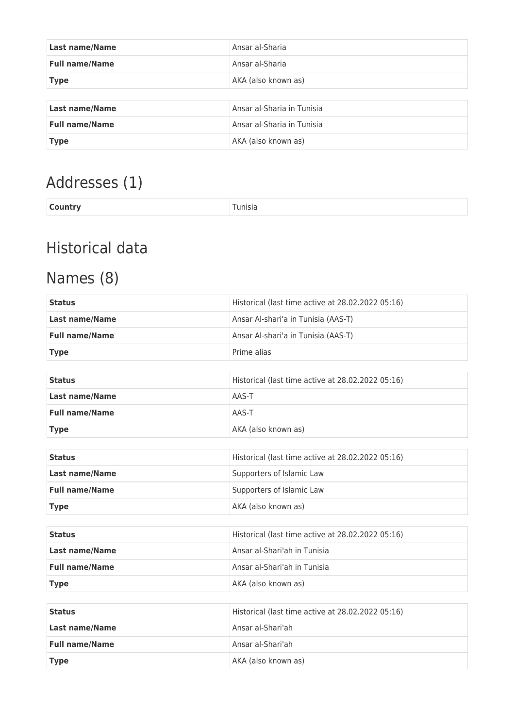| Last name/Name        | Ansar al-Sharia            |
|-----------------------|----------------------------|
| <b>Full name/Name</b> | Ansar al-Sharia            |
| <b>Type</b>           | AKA (also known as)        |
|                       |                            |
| <b>Last name/Name</b> | Ansar al-Sharia in Tunisia |
| <b>Full name/Name</b> | Ansar al-Sharia in Tunisia |
| <b>Type</b>           | AKA (also known as)        |

# Addresses (1)

|--|

# Historical data

# Names (8)

| <b>Last name/Name</b><br>Ansar Al-shari'a in Tunisia (AAS-T)<br><b>Full name/Name</b><br>Ansar Al-shari'a in Tunisia (AAS-T)<br>Prime alias<br><b>Type</b><br>Historical (last time active at 28.02.2022 05:16)<br><b>Status</b><br><b>Last name/Name</b><br>AAS-T |  |  |
|--------------------------------------------------------------------------------------------------------------------------------------------------------------------------------------------------------------------------------------------------------------------|--|--|
|                                                                                                                                                                                                                                                                    |  |  |
|                                                                                                                                                                                                                                                                    |  |  |
|                                                                                                                                                                                                                                                                    |  |  |
|                                                                                                                                                                                                                                                                    |  |  |
|                                                                                                                                                                                                                                                                    |  |  |
|                                                                                                                                                                                                                                                                    |  |  |
| <b>Full name/Name</b><br>AAS-T                                                                                                                                                                                                                                     |  |  |
| AKA (also known as)<br><b>Type</b>                                                                                                                                                                                                                                 |  |  |
|                                                                                                                                                                                                                                                                    |  |  |
| Historical (last time active at 28.02.2022 05:16)<br><b>Status</b>                                                                                                                                                                                                 |  |  |
| <b>Last name/Name</b><br>Supporters of Islamic Law                                                                                                                                                                                                                 |  |  |
| <b>Full name/Name</b><br>Supporters of Islamic Law                                                                                                                                                                                                                 |  |  |
| AKA (also known as)<br><b>Type</b>                                                                                                                                                                                                                                 |  |  |
|                                                                                                                                                                                                                                                                    |  |  |
| Historical (last time active at 28.02.2022 05:16)<br><b>Status</b>                                                                                                                                                                                                 |  |  |
| Ansar al-Shari'ah in Tunisia<br><b>Last name/Name</b>                                                                                                                                                                                                              |  |  |
| <b>Full name/Name</b><br>Ansar al-Shari'ah in Tunisia                                                                                                                                                                                                              |  |  |
| AKA (also known as)<br><b>Type</b>                                                                                                                                                                                                                                 |  |  |
|                                                                                                                                                                                                                                                                    |  |  |
| Historical (last time active at 28.02.2022 05:16)<br><b>Status</b>                                                                                                                                                                                                 |  |  |
| Ansar al-Shari'ah<br><b>Last name/Name</b>                                                                                                                                                                                                                         |  |  |
| Ansar al-Shari'ah<br><b>Full name/Name</b>                                                                                                                                                                                                                         |  |  |
| AKA (also known as)<br><b>Type</b>                                                                                                                                                                                                                                 |  |  |